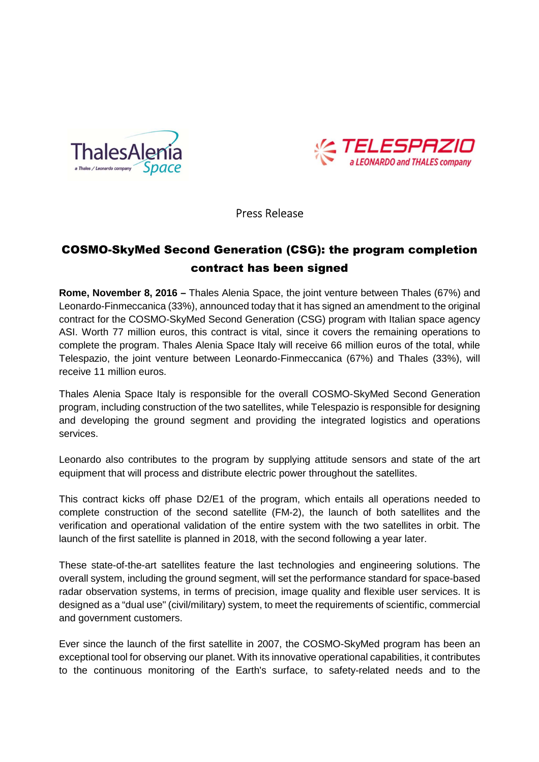



Press Release

# COSMO-SkyMed Second Generation (CSG): the program completion contract has been signed

**Rome, November 8, 2016 –** Thales Alenia Space, the joint venture between Thales (67%) and Leonardo-Finmeccanica (33%), announced today that it has signed an amendment to the original contract for the COSMO-SkyMed Second Generation (CSG) program with Italian space agency ASI. Worth 77 million euros, this contract is vital, since it covers the remaining operations to complete the program. Thales Alenia Space Italy will receive 66 million euros of the total, while Telespazio, the joint venture between Leonardo-Finmeccanica (67%) and Thales (33%), will receive 11 million euros.

Thales Alenia Space Italy is responsible for the overall COSMO-SkyMed Second Generation program, including construction of the two satellites, while Telespazio is responsible for designing and developing the ground segment and providing the integrated logistics and operations services.

Leonardo also contributes to the program by supplying attitude sensors and state of the art equipment that will process and distribute electric power throughout the satellites.

This contract kicks off phase D2/E1 of the program, which entails all operations needed to complete construction of the second satellite (FM-2), the launch of both satellites and the verification and operational validation of the entire system with the two satellites in orbit. The launch of the first satellite is planned in 2018, with the second following a year later.

These state-of-the-art satellites feature the last technologies and engineering solutions. The overall system, including the ground segment, will set the performance standard for space-based radar observation systems, in terms of precision, image quality and flexible user services. It is designed as a "dual use" (civil/military) system, to meet the requirements of scientific, commercial and government customers.

Ever since the launch of the first satellite in 2007, the COSMO-SkyMed program has been an exceptional tool for observing our planet. With its innovative operational capabilities, it contributes to the continuous monitoring of the Earth's surface, to safety-related needs and to the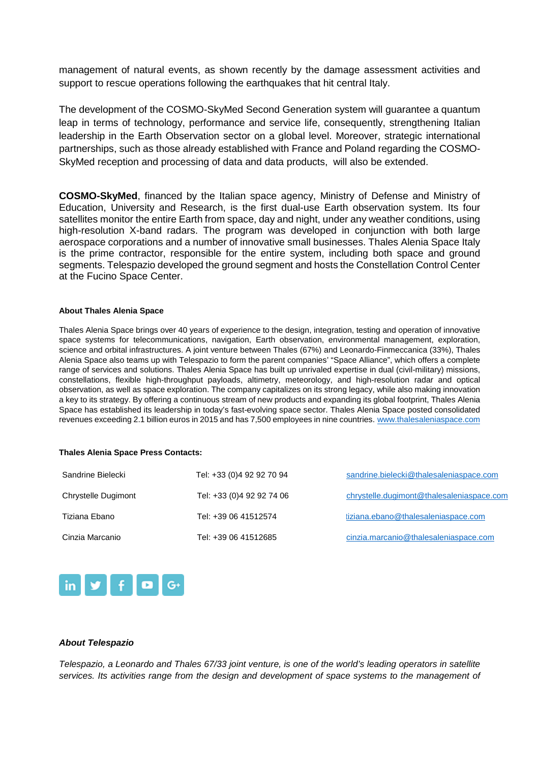management of natural events, as shown recently by the damage assessment activities and support to rescue operations following the earthquakes that hit central Italy.

The development of the COSMO-SkyMed Second Generation system will guarantee a quantum leap in terms of technology, performance and service life, consequently, strengthening Italian leadership in the Earth Observation sector on a global level. Moreover, strategic international partnerships, such as those already established with France and Poland regarding the COSMO-SkyMed reception and processing of data and data products, will also be extended.

**COSMO-SkyMed**, financed by the Italian space agency, Ministry of Defense and Ministry of Education, University and Research, is the first dual-use Earth observation system. Its four satellites monitor the entire Earth from space, day and night, under any weather conditions, using high-resolution X-band radars. The program was developed in conjunction with both large aerospace corporations and a number of innovative small businesses. Thales Alenia Space Italy is the prime contractor, responsible for the entire system, including both space and ground segments. Telespazio developed the ground segment and hosts the Constellation Control Center at the Fucino Space Center.

### **About Thales Alenia Space**

Thales Alenia Space brings over 40 years of experience to the design, integration, testing and operation of innovative space systems for telecommunications, navigation, Earth observation, environmental management, exploration, science and orbital infrastructures. A joint venture between Thales (67%) and Leonardo-Finmeccanica (33%), Thales Alenia Space also teams up with Telespazio to form the parent companies' "Space Alliance", which offers a complete range of services and solutions. Thales Alenia Space has built up unrivaled expertise in dual (civil-military) missions, constellations, flexible high-throughput payloads, altimetry, meteorology, and high-resolution radar and optical observation, as well as space exploration. The company capitalizes on its strong legacy, while also making innovation a key to its strategy. By offering a continuous stream of new products and expanding its global footprint, Thales Alenia Space has established its leadership in today's fast-evolving space sector. Thales Alenia Space posted consolidated revenues exceeding 2.1 billion euros in 2015 and has 7,500 employees in nine countries. www.thalesaleniaspace.com

#### **Thales Alenia Space Press Contacts:**

| Sandrine Bielecki   | Tel: +33 (0)4 92 92 70 94 | sandrine.bielecki@thalesaleniaspace.com   |
|---------------------|---------------------------|-------------------------------------------|
| Chrystelle Dugimont | Tel: +33 (0)4 92 92 74 06 | chrystelle.dugimont@thalesaleniaspace.com |
| Tiziana Ebano       | Tel: +39 06 41512574      | tiziana.ebano@thalesaleniaspace.com       |
| Cinzia Marcanio     | Tel: +39 06 41512685      | cinzia.marcanio@thalesaleniaspace.com     |



# **About Telespazio**

Telespazio, a Leonardo and Thales 67/33 joint venture, is one of the world's leading operators in satellite services. Its activities range from the design and development of space systems to the management of